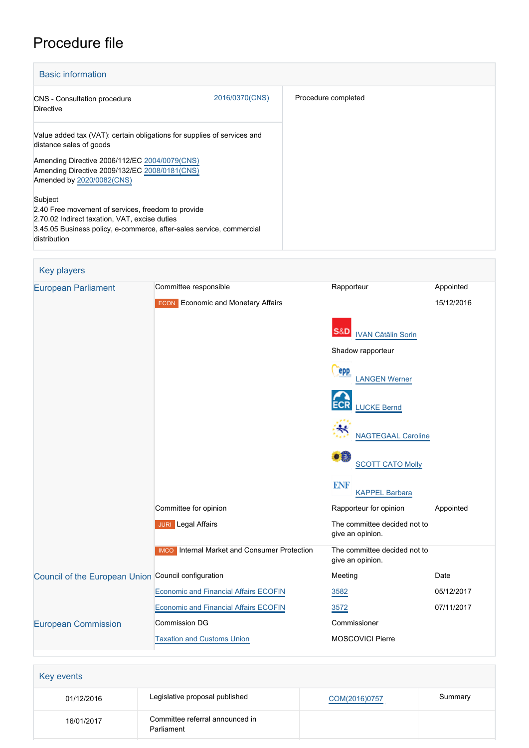# Procedure file

| <b>Basic information</b>                                                                                                                                                                               |                |                     |
|--------------------------------------------------------------------------------------------------------------------------------------------------------------------------------------------------------|----------------|---------------------|
| CNS - Consultation procedure<br>Directive                                                                                                                                                              | 2016/0370(CNS) | Procedure completed |
| Value added tax (VAT): certain obligations for supplies of services and<br>distance sales of goods                                                                                                     |                |                     |
| Amending Directive 2006/112/EC 2004/0079(CNS)<br>Amending Directive 2009/132/EC 2008/0181(CNS)<br>Amended by 2020/0082(CNS)                                                                            |                |                     |
| Subject<br>2.40 Free movement of services, freedom to provide<br>2.70.02 Indirect taxation, VAT, excise duties<br>3.45.05 Business policy, e-commerce, after-sales service, commercial<br>distribution |                |                     |

| <b>Key players</b>                                  |                                                     |                                                  |            |
|-----------------------------------------------------|-----------------------------------------------------|--------------------------------------------------|------------|
| <b>European Parliament</b>                          | Committee responsible                               | Rapporteur                                       | Appointed  |
|                                                     | <b>ECON</b> Economic and Monetary Affairs           |                                                  | 15/12/2016 |
|                                                     |                                                     | S&D<br><b>IVAN Cătălin Sorin</b>                 |            |
|                                                     |                                                     | Shadow rapporteur                                |            |
|                                                     |                                                     | epp<br><b>LANGEN Werner</b>                      |            |
|                                                     |                                                     | <b>LUCKE Bernd</b>                               |            |
|                                                     |                                                     | <b>NAGTEGAAL Caroline</b>                        |            |
|                                                     |                                                     | $\bullet$ $\bullet$<br><b>SCOTT CATO Molly</b>   |            |
|                                                     |                                                     | <b>ENF</b><br><b>KAPPEL Barbara</b>              |            |
|                                                     | Committee for opinion                               | Rapporteur for opinion                           | Appointed  |
|                                                     | <b>JURI</b> Legal Affairs                           | The committee decided not to<br>give an opinion. |            |
|                                                     | <b>IMCO</b> Internal Market and Consumer Protection | The committee decided not to<br>give an opinion. |            |
| Council of the European Union Council configuration |                                                     | Meeting                                          | Date       |
|                                                     | <b>Economic and Financial Affairs ECOFIN</b>        | 3582                                             | 05/12/2017 |
|                                                     | <b>Economic and Financial Affairs ECOFIN</b>        | 3572                                             | 07/11/2017 |
| <b>European Commission</b>                          | <b>Commission DG</b>                                | Commissioner                                     |            |
|                                                     | <b>Taxation and Customs Union</b>                   | <b>MOSCOVICI Pierre</b>                          |            |

| <b>Key events</b> |                                               |               |         |
|-------------------|-----------------------------------------------|---------------|---------|
| 01/12/2016        | Legislative proposal published                | COM(2016)0757 | Summary |
| 16/01/2017        | Committee referral announced in<br>Parliament |               |         |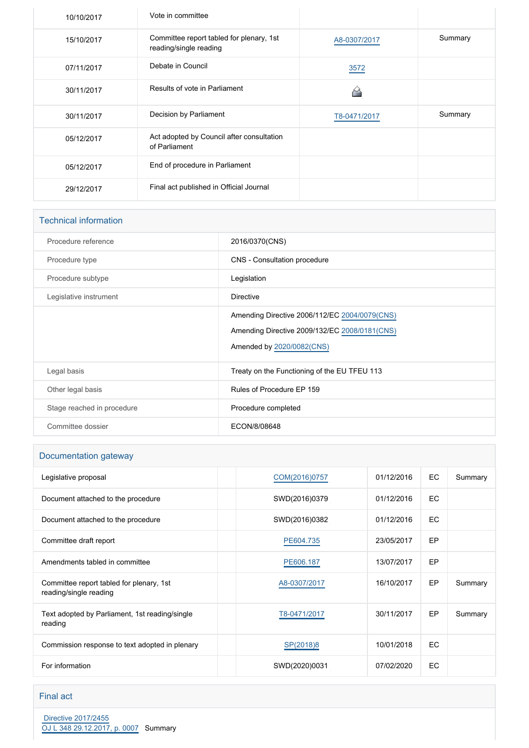| 10/10/2017 | Vote in committee                                                  |              |         |
|------------|--------------------------------------------------------------------|--------------|---------|
| 15/10/2017 | Committee report tabled for plenary, 1st<br>reading/single reading | A8-0307/2017 | Summary |
| 07/11/2017 | Debate in Council                                                  | 3572         |         |
| 30/11/2017 | Results of vote in Parliament                                      |              |         |
| 30/11/2017 | Decision by Parliament                                             | T8-0471/2017 | Summary |
| 05/12/2017 | Act adopted by Council after consultation<br>of Parliament         |              |         |
| 05/12/2017 | End of procedure in Parliament                                     |              |         |
| 29/12/2017 | Final act published in Official Journal                            |              |         |

| <b>Technical information</b> |                                                                                                                             |
|------------------------------|-----------------------------------------------------------------------------------------------------------------------------|
| Procedure reference          | 2016/0370(CNS)                                                                                                              |
| Procedure type               | CNS - Consultation procedure                                                                                                |
| Procedure subtype            | Legislation                                                                                                                 |
| Legislative instrument       | <b>Directive</b>                                                                                                            |
|                              | Amending Directive 2006/112/EC 2004/0079(CNS)<br>Amending Directive 2009/132/EC 2008/0181(CNS)<br>Amended by 2020/0082(CNS) |
| Legal basis                  | Treaty on the Functioning of the EU TFEU 113                                                                                |
| Other legal basis            | Rules of Procedure EP 159                                                                                                   |
| Stage reached in procedure   | Procedure completed                                                                                                         |
| Committee dossier            | ECON/8/08648                                                                                                                |

## Documentation gateway

| 01/12/2016 | EC  | Summary |
|------------|-----|---------|
| 01/12/2016 | EC  |         |
| 01/12/2016 | EC. |         |
| 23/05/2017 | EP  |         |
| 13/07/2017 | EP  |         |
| 16/10/2017 | EP  | Summary |
| 30/11/2017 | EP  | Summary |
| 10/01/2018 | EC  |         |
| 07/02/2020 | EC  |         |
|            |     |         |

#### Final act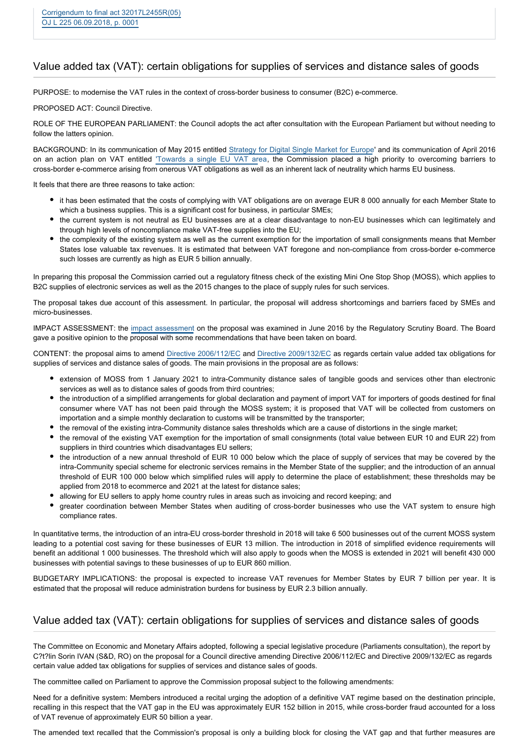#### Value added tax (VAT): certain obligations for supplies of services and distance sales of goods

PURPOSE: to modernise the VAT rules in the context of cross-border business to consumer (B2C) e-commerce.

PROPOSED ACT: Council Directive.

ROLE OF THE EUROPEAN PARLIAMENT: the Council adopts the act after consultation with the European Parliament but without needing to follow the latters opinion.

BACKGROUND: In its communication of May 2015 entitled [Strategy for Digital Single Market for Europe](http://www.europarl.europa.eu/oeil/popups/ficheprocedure.do?reference=2015/2147(INI)&l=en)' and its communication of April 2016 on an action plan on VAT entitled ['Towards a single EU VAT ar](http://www.europarl.europa.eu/RegData/docs_autres_institutions/commission_europeenne/com/2016/0148/COM_COM(2016)0148_EN.pdf)ea, the Commission placed a high priority to overcoming barriers to cross-border e-commerce arising from onerous VAT obligations as well as an inherent lack of neutrality which harms EU business.

It feels that there are three reasons to take action:

- it has been estimated that the costs of complying with VAT obligations are on average EUR 8 000 annually for each Member State to which a business supplies. This is a significant cost for business, in particular SMEs;
- the current system is not neutral as EU businesses are at a clear disadvantage to non-EU businesses which can legitimately and through high levels of noncompliance make VAT-free supplies into the EU;
- the complexity of the existing system as well as the current exemption for the importation of small consignments means that Member States lose valuable tax revenues. It is estimated that between VAT foregone and non-compliance from cross-border e-commerce such losses are currently as high as EUR 5 billion annually.

In preparing this proposal the Commission carried out a regulatory fitness check of the existing Mini One Stop Shop (MOSS), which applies to B2C supplies of electronic services as well as the 2015 changes to the place of supply rules for such services.

The proposal takes due account of this assessment. In particular, the proposal will address shortcomings and barriers faced by SMEs and micro-businesses.

IMPACT ASSESSMENT: the [impact assessment](http://eur-lex.europa.eu/legal-content/EN/TXT/PDF/?uri=CELEX:52016SC0382&rid=1) on the proposal was examined in June 2016 by the Regulatory Scrutiny Board. The Board gave a positive opinion to the proposal with some recommendations that have been taken on board.

CONTENT: the proposal aims to amend [Directive 2006/112/EC](http://eur-lex.europa.eu/legal-content/EN/TXT/PDF/?uri=CELEX:02006L0112-20160601&qid=1481556346100&from=FR) and [Directive 2009/132/EC](http://eur-lex.europa.eu/legal-content/EN/TXT/PDF/?uri=CELEX:32009L0132&rid=1) as regards certain value added tax obligations for supplies of services and distance sales of goods. The main provisions in the proposal are as follows:

- extension of MOSS from 1 January 2021 to intra-Community distance sales of tangible goods and services other than electronic services as well as to distance sales of goods from third countries;
- the introduction of a simplified arrangements for global declaration and payment of import VAT for importers of goods destined for final consumer where VAT has not been paid through the MOSS system; it is proposed that VAT will be collected from customers on importation and a simple monthly declaration to customs will be transmitted by the transporter;
- the removal of the existing intra-Community distance sales thresholds which are a cause of distortions in the single market;
- the removal of the existing VAT exemption for the importation of small consignments (total value between EUR 10 and EUR 22) from suppliers in third countries which disadvantages EU sellers;
- the introduction of a new annual threshold of EUR 10 000 below which the place of supply of services that may be covered by the intra-Community special scheme for electronic services remains in the Member State of the supplier; and the introduction of an annual threshold of EUR 100 000 below which simplified rules will apply to determine the place of establishment; these thresholds may be applied from 2018 to ecommerce and 2021 at the latest for distance sales;
- allowing for EU sellers to apply home country rules in areas such as invoicing and record keeping; and
- greater coordination between Member States when auditing of cross-border businesses who use the VAT system to ensure high compliance rates.

In quantitative terms, the introduction of an intra-EU cross-border threshold in 2018 will take 6 500 businesses out of the current MOSS system leading to a potential cost saving for these businesses of EUR 13 million. The introduction in 2018 of simplified evidence requirements will benefit an additional 1 000 businesses. The threshold which will also apply to goods when the MOSS is extended in 2021 will benefit 430 000 businesses with potential savings to these businesses of up to EUR 860 million.

BUDGETARY IMPLICATIONS: the proposal is expected to increase VAT revenues for Member States by EUR 7 billion per year. It is estimated that the proposal will reduce administration burdens for business by EUR 2.3 billion annually.

#### Value added tax (VAT): certain obligations for supplies of services and distance sales of goods

The Committee on Economic and Monetary Affairs adopted, following a special legislative procedure (Parliaments consultation), the report by C?t?lin Sorin IVAN (S&D, RO) on the proposal for a Council directive amending Directive 2006/112/EC and Directive 2009/132/EC as regards certain value added tax obligations for supplies of services and distance sales of goods.

The committee called on Parliament to approve the Commission proposal subject to the following amendments:

Need for a definitive system: Members introduced a recital urging the adoption of a definitive VAT regime based on the destination principle, recalling in this respect that the VAT gap in the EU was approximately EUR 152 billion in 2015, while cross-border fraud accounted for a loss of VAT revenue of approximately EUR 50 billion a year.

The amended text recalled that the Commission's proposal is only a building block for closing the VAT gap and that further measures are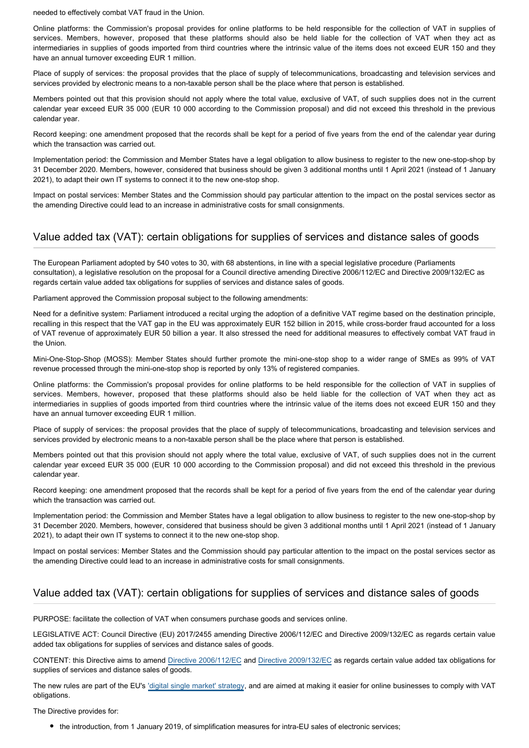needed to effectively combat VAT fraud in the Union.

Online platforms: the Commission's proposal provides for online platforms to be held responsible for the collection of VAT in supplies of services. Members, however, proposed that these platforms should also be held liable for the collection of VAT when they act as intermediaries in supplies of goods imported from third countries where the intrinsic value of the items does not exceed EUR 150 and they have an annual turnover exceeding EUR 1 million.

Place of supply of services: the proposal provides that the place of supply of telecommunications, broadcasting and television services and services provided by electronic means to a non-taxable person shall be the place where that person is established.

Members pointed out that this provision should not apply where the total value, exclusive of VAT, of such supplies does not in the current calendar year exceed EUR 35 000 (EUR 10 000 according to the Commission proposal) and did not exceed this threshold in the previous calendar year.

Record keeping: one amendment proposed that the records shall be kept for a period of five years from the end of the calendar year during which the transaction was carried out.

Implementation period: the Commission and Member States have a legal obligation to allow business to register to the new one-stop-shop by 31 December 2020. Members, however, considered that business should be given 3 additional months until 1 April 2021 (instead of 1 January 2021), to adapt their own IT systems to connect it to the new one-stop shop.

Impact on postal services: Member States and the Commission should pay particular attention to the impact on the postal services sector as the amending Directive could lead to an increase in administrative costs for small consignments.

#### Value added tax (VAT): certain obligations for supplies of services and distance sales of goods

The European Parliament adopted by 540 votes to 30, with 68 abstentions, in line with a special legislative procedure (Parliaments consultation), a legislative resolution on the proposal for a Council directive amending Directive 2006/112/EC and Directive 2009/132/EC as regards certain value added tax obligations for supplies of services and distance sales of goods.

Parliament approved the Commission proposal subject to the following amendments:

Need for a definitive system: Parliament introduced a recital urging the adoption of a definitive VAT regime based on the destination principle, recalling in this respect that the VAT gap in the EU was approximately EUR 152 billion in 2015, while cross-border fraud accounted for a loss of VAT revenue of approximately EUR 50 billion a year. It also stressed the need for additional measures to effectively combat VAT fraud in the Union.

Mini-One-Stop-Shop (MOSS): Member States should further promote the mini-one-stop shop to a wider range of SMEs as 99% of VAT revenue processed through the mini-one-stop shop is reported by only 13% of registered companies.

Online platforms: the Commission's proposal provides for online platforms to be held responsible for the collection of VAT in supplies of services. Members, however, proposed that these platforms should also be held liable for the collection of VAT when they act as intermediaries in supplies of goods imported from third countries where the intrinsic value of the items does not exceed EUR 150 and they have an annual turnover exceeding EUR 1 million.

Place of supply of services: the proposal provides that the place of supply of telecommunications, broadcasting and television services and services provided by electronic means to a non-taxable person shall be the place where that person is established.

Members pointed out that this provision should not apply where the total value, exclusive of VAT, of such supplies does not in the current calendar year exceed EUR 35 000 (EUR 10 000 according to the Commission proposal) and did not exceed this threshold in the previous calendar year.

Record keeping: one amendment proposed that the records shall be kept for a period of five years from the end of the calendar year during which the transaction was carried out.

Implementation period: the Commission and Member States have a legal obligation to allow business to register to the new one-stop-shop by 31 December 2020. Members, however, considered that business should be given 3 additional months until 1 April 2021 (instead of 1 January 2021), to adapt their own IT systems to connect it to the new one-stop shop.

Impact on postal services: Member States and the Commission should pay particular attention to the impact on the postal services sector as the amending Directive could lead to an increase in administrative costs for small consignments.

### Value added tax (VAT): certain obligations for supplies of services and distance sales of goods

PURPOSE: facilitate the collection of VAT when consumers purchase goods and services online.

LEGISLATIVE ACT: Council Directive (EU) 2017/2455 amending Directive 2006/112/EC and Directive 2009/132/EC as regards certain value added tax obligations for supplies of services and distance sales of goods.

CONTENT: this Directive aims to amend [Directive 2006/112/EC](http://eur-lex.europa.eu/legal-content/EN/TXT/?qid=1518362111401&uri=CELEX:02006L0112-20160601) and [Directive 2009/132/EC](http://eur-lex.europa.eu/legal-content/EN/TXT/?qid=1518362168130&uri=CELEX:32009L0132) as regards certain value added tax obligations for supplies of services and distance sales of goods.

The new rules are part of the EU's ['digital single market' strategy](http://www.europarl.europa.eu/oeil/popups/ficheprocedure.do?reference=2015/2147(INI)&l=en), and are aimed at making it easier for online businesses to comply with VAT obligations.

The Directive provides for:

the introduction, from 1 January 2019, of simplification measures for intra-EU sales of electronic services;